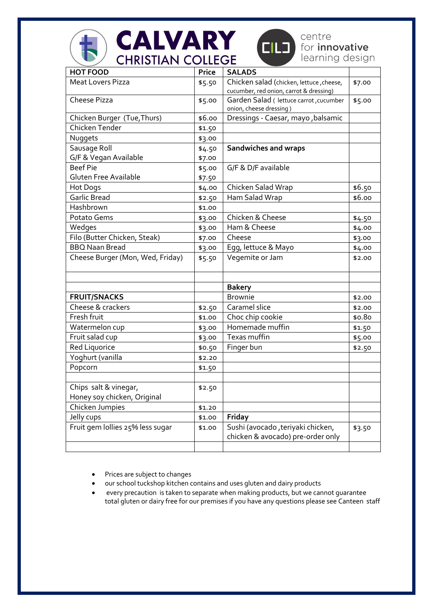| <b>CALVARY</b><br>centre<br>CILO)<br>for <i>innovative</i><br>learning design<br><b>CHRISTIAN COLLEGE</b> |              |                                                                                     |        |  |
|-----------------------------------------------------------------------------------------------------------|--------------|-------------------------------------------------------------------------------------|--------|--|
| <b>HOT FOOD</b>                                                                                           | <b>Price</b> | <b>SALADS</b>                                                                       |        |  |
| <b>Meat Lovers Pizza</b>                                                                                  | \$5.50       | Chicken salad (chicken, lettuce, cheese,<br>cucumber, red onion, carrot & dressing) | \$7.00 |  |
| Cheese Pizza                                                                                              | \$5.00       | Garden Salad ( lettuce carrot, cucumber<br>onion, cheese dressing)                  | \$5.00 |  |
| Chicken Burger (Tue, Thurs)                                                                               | \$6.00       | Dressings - Caesar, mayo, balsamic                                                  |        |  |
| Chicken Tender                                                                                            | \$1.50       |                                                                                     |        |  |
| Nuggets                                                                                                   | \$3.00       |                                                                                     |        |  |
| Sausage Roll                                                                                              | \$4.50       | <b>Sandwiches and wraps</b>                                                         |        |  |
| G/F & Vegan Available                                                                                     | \$7.00       |                                                                                     |        |  |
| <b>Beef Pie</b>                                                                                           | \$5.00       | G/F & D/F available                                                                 |        |  |
| Gluten Free Available                                                                                     | \$7.50       |                                                                                     |        |  |
| Hot Dogs                                                                                                  | \$4.00       | Chicken Salad Wrap                                                                  | \$6.50 |  |
| <b>Garlic Bread</b>                                                                                       | \$2.50       | Ham Salad Wrap                                                                      | \$6.00 |  |
| Hashbrown                                                                                                 | \$1.00       |                                                                                     |        |  |
| Potato Gems                                                                                               | \$3.00       | Chicken & Cheese                                                                    | \$4.50 |  |
| Wedges                                                                                                    | \$3.00       | Ham & Cheese                                                                        | \$4.00 |  |
| Filo (Butter Chicken, Steak)                                                                              | \$7.00       | Cheese                                                                              | \$3.00 |  |
| <b>BBQ Naan Bread</b>                                                                                     | \$3.00       | Egg, lettuce & Mayo                                                                 | \$4.00 |  |
| Cheese Burger (Mon, Wed, Friday)                                                                          | \$5.50       | Vegemite or Jam                                                                     | \$2.00 |  |
|                                                                                                           |              | <b>Bakery</b>                                                                       |        |  |
| <b>FRUIT/SNACKS</b>                                                                                       |              | <b>Brownie</b>                                                                      | \$2.00 |  |
| Cheese & crackers                                                                                         | \$2.50       | Caramel slice                                                                       | \$2.00 |  |
| Fresh fruit                                                                                               | \$1.00       | Choc chip cookie                                                                    | \$0.80 |  |
| Watermelon cup                                                                                            | \$3.00       | Homemade muffin                                                                     | \$1.50 |  |
| Fruit salad cup                                                                                           | \$3.00       | Texas muffin                                                                        | \$5.00 |  |
| <b>Red Liquorice</b>                                                                                      | \$0.50       | Finger bun                                                                          | \$2.50 |  |
| Yoghurt (vanilla                                                                                          | \$2.20       |                                                                                     |        |  |
| Popcorn                                                                                                   | \$1.50       |                                                                                     |        |  |
|                                                                                                           |              |                                                                                     |        |  |
| Chips salt & vinegar,<br>Honey soy chicken, Original                                                      | \$2.50       |                                                                                     |        |  |
| Chicken Jumpies                                                                                           | \$1.20       |                                                                                     |        |  |
| Jelly cups                                                                                                | \$1.00       | <b>Friday</b>                                                                       |        |  |
| Fruit gem lollies 25% less sugar                                                                          | \$1.00       | Sushi (avocado , teriyaki chicken,<br>chicken & avocado) pre-order only             | \$3.50 |  |
|                                                                                                           |              |                                                                                     |        |  |

- Prices are subject to changes
- our school tuckshop kitchen contains and uses gluten and dairy products
- every precaution is taken to separate when making products, but we cannot guarantee total gluten or dairy free for our premises if you have any questions please see Canteen staff